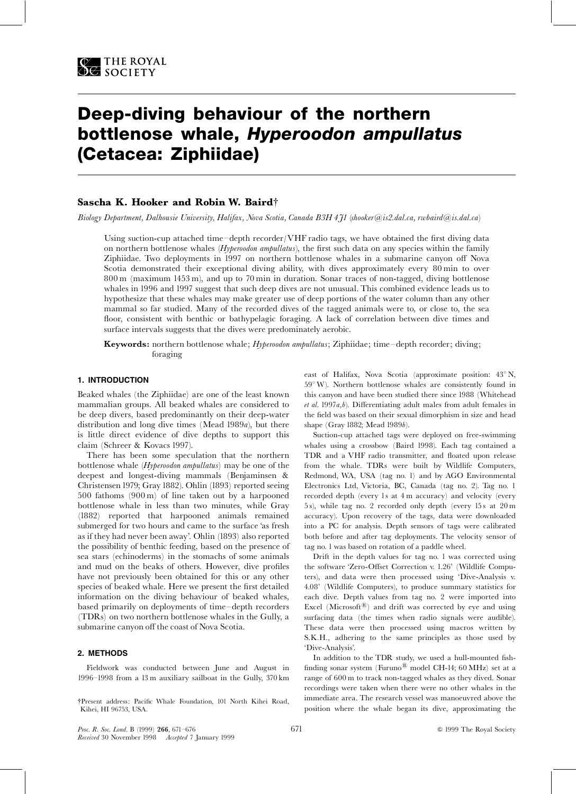# Deep-diving behaviour of the northern bottlenose whale, Hyperoodon ampullatus (Cetacea: Ziphiidae)

# Sascha K. Hooker and Robin W. Baird<sup>†</sup>

Biology Department, Dalhousie University, Halifax, Nova Scotia, Canada B3H 4J1 (shooker@is2.dal.ca, rwbaird@is.dal.ca)

Using suction-cup attached time-depth recorder/VHF radio tags, we have obtained the first diving data on northern bottlenose whales (Hyperoodon ampullatus), the first such data on any species within the family Ziphiidae. Two deployments in 1997 on northern bottlenose whales in a submarine canyon off Nova Scotia demonstrated their exceptional diving ability, with dives approximately every 80 min to over 800 m (maximum 1453 m), and up to 70 min in duration. Sonar traces of non-tagged, diving bottlenose whales in 1996 and 1997 suggest that such deep dives are not unusual. This combined evidence leads us to hypothesize that these whales may make greater use of deep portions of the water column than any other mammal so far studied. Many of the recorded dives of the tagged animals were to, or close to, the sea floor, consistent with benthic or bathypelagic foraging. A lack of correlation between dive times and surface intervals suggests that the dives were predominately aerobic.

Keywords: northern bottlenose whale; Hyperoodon ampullatus; Ziphiidae; time-depth recorder; diving; foraging

## 1. INTRODUCTION

Beaked whales (the Ziphiidae) are one of the least known mammalian groups. All beaked whales are considered to be deep divers, based predominantly on their deep-water distribution and long dive times (Mead 1989a), but there is little direct evidence of dive depths to support this claim (Schreer & Kovacs 1997).

There has been some speculation that the northern bottlenose whale (Hyperoodon ampullatus) may be one of the deepest and longest-diving mammals (Benjaminsen & Christensen 1979; Gray 1882). Ohlin (1893) reported seeing 500 fathoms (900 m) of line taken out by a harpooned bottlenose whale in less than two minutes, while Gray (1882) reported that harpooned animals remained submerged for two hours and came to the surface `as fresh as if they had never been away'. Ohlin (1893) also reported the possibility of benthic feeding, based on the presence of sea stars (echinoderms) in the stomachs of some animals and mud on the beaks of others. However, dive profiles have not previously been obtained for this or any other species of beaked whale. Here we present the first detailed information on the diving behaviour of beaked whales, based primarily on deployments of time-depth recorders (TDRs) on two northern bottlenose whales in the Gully, a submarine canyon off the coast of Nova Scotia.

## 2. METHODS

Fieldwork was conducted between June and August in 1996^1998 from a 13 m auxiliary sailboat in the Gully, 370 km

{Present address: Paci¢c Whale Foundation, 101 North Kihei Road, Kihei, HI 96753, USA.

east of Halifax, Nova Scotia (approximate position:  $43^{\circ}$  N,  $59^{\circ}$  W). Northern bottlenose whales are consistently found in this canyon and have been studied there since 1988 (Whitehead  $et \ al.$  1997 $a,b$ ). Differentiating adult males from adult females in the field was based on their sexual dimorphism in size and head shape (Gray 1882; Mead 1989b).

Suction-cup attached tags were deployed on free-swimming whales using a crossbow (Baird 1998). Each tag contained a TDR and a VHF radio transmitter, and floated upon release from the whale. TDRs were built by Wildlife Computers, Redmond, WA, USA (tag no. 1) and by AGO Environmental Electronics Ltd, Victoria, BC, Canada (tag no. 2). Tag no. 1 recorded depth (every 1s at 4 m accuracy) and velocity (every 5 s), while tag no. 2 recorded only depth (every 15 s at 20 m accuracy). Upon recovery of the tags, data were downloaded into a PC for analysis. Depth sensors of tags were calibrated both before and after tag deployments. The velocity sensor of tag no. 1 was based on rotation of a paddle wheel.

Drift in the depth values for tag no. 1 was corrected using the software 'Zero-Offset Correction v. 1.26' (Wildlife Computers), and data were then processed using `Dive-Analysis v. 4.08' (Wildlife Computers), to produce summary statistics for each dive. Depth values from tag no. 2 were imported into Excel (Microsoft $^{(B)}$ ) and drift was corrected by eye and using surfacing data (the times when radio signals were audible). These data were then processed using macros written by S.K.H., adhering to the same principles as those used by `Dive-Analysis'.

In addition to the TDR study, we used a hull-mounted fishfinding sonar system (Furuno<sup>®</sup> model CH-14; 60 MHz) set at a range of 600 m to track non-tagged whales as they dived. Sonar recordings were taken when there were no other whales in the immediate area. The research vessel was manoeuvred above the position where the whale began its dive, approximating the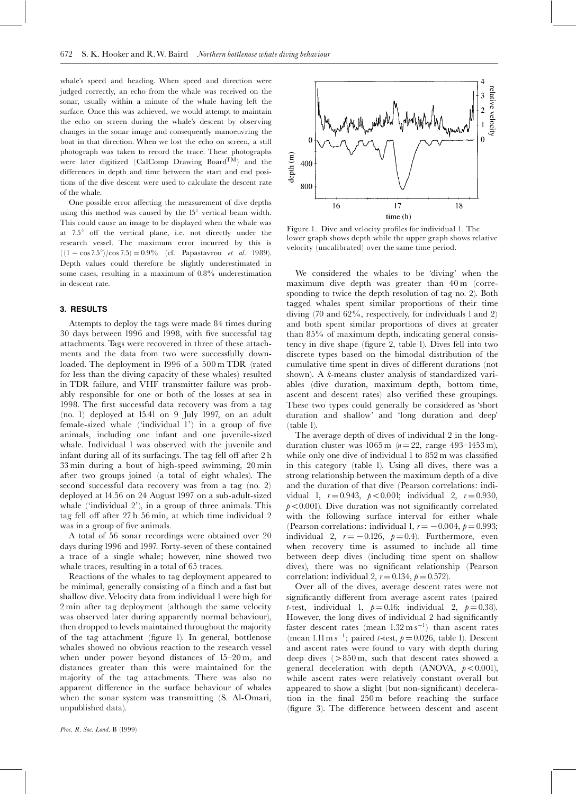whale's speed and heading. When speed and direction were judged correctly, an echo from the whale was received on the sonar, usually within a minute of the whale having left the surface. Once this was achieved, we would attempt to maintain the echo on screen during the whale's descent by observing changes in the sonar image and consequently manoeuvring the boat in that direction. When we lost the echo on screen, a still photograph was taken to record the trace. These photographs were later digitized (CalComp Drawing Board $\overline{T}^{\tilde{M}}$ ) and the differences in depth and time between the start and end positions of the dive descent were used to calculate the descent rate of the whale.

One possible error affecting the measurement of dive depths using this method was caused by the  $15^{\circ}$  vertical beam width. This could cause an image to be displayed when the whale was at  $7.5^{\circ}$  off the vertical plane, i.e. not directly under the research vessel. The maximum error incurred by this is  $((1 - \cos 7.5^{\circ})/\cos 7.5) = 0.9\%$  (cf. Papastavrou *et al.* 1989). Depth values could therefore be slightly underestimated in some cases, resulting in a maximum of 0.8% underestimation in descent rate.

#### 3. RESULTS

Attempts to deploy the tags were made 84 times during 30 days between 1996 and 1998, with five successful tag attachments. Tags were recovered in three of these attachments and the data from two were successfully downloaded. The deployment in 1996 of a 500 m TDR (rated for less than the diving capacity of these whales) resulted in TDR failure, and VHF transmitter failure was probably responsible for one or both of the losses at sea in 1998. The first successful data recovery was from a tag (no. 1) deployed at 15.41 on 9 July 1997, on an adult female-sized whale ('individual  $1$ ') in a group of five animals, including one infant and one juvenile-sized whale. Individual 1 was observed with the juvenile and infant during all of its surfacings. The tag fell off after 2 h 33 min during a bout of high-speed swimming, 20 min after two groups joined (a total of eight whales). The second successful data recovery was from a tag (no. 2) deployed at 14.56 on 24 August 1997 on a sub-adult-sized whale ( $'individual$   $2'$ ), in a group of three animals. This tag fell off after 27 h 56 min, at which time individual 2 was in a group of five animals.

A total of 56 sonar recordings were obtained over 20 days during 1996 and 1997. Forty-seven of these contained a trace of a single whale; however, nine showed two whale traces, resulting in a total of 65 traces.

Reactions of the whales to tag deployment appeared to be minimal, generally consisting of a flinch and a fast but shallow dive.Velocity data from individual 1 were high for 2 min after tag deployment (although the same velocity was observed later during apparently normal behaviour), then dropped to levels maintained throughout the majority of the tag attachment (figure 1). In general, bottlenose whales showed no obvious reaction to the research vessel when under power beyond distances of  $15-20$  m, and distances greater than this were maintained for the majority of the tag attachments. There was also no apparent difference in the surface behaviour of whales when the sonar system was transmitting (S. Al-Omari, unpublished data).



Figure 1. Dive and velocity profiles for individual 1. The lower graph shows depth while the upper graph shows relative velocity (uncalibrated) over the same time period.

We considered the whales to be 'diving' when the maximum dive depth was greater than 40 m (corresponding to twice the depth resolution of tag no. 2). Both tagged whales spent similar proportions of their time diving (70 and 62%, respectively, for individuals 1 and 2) and both spent similar proportions of dives at greater than 85% of maximum depth, indicating general consistency in dive shape (figure 2, table 1). Dives fell into two discrete types based on the bimodal distribution of the cumulative time spent in dives of different durations (not shown). A k-means cluster analysis of standardized variables (dive duration, maximum depth, bottom time, ascent and descent rates) also verified these groupings. These two types could generally be considered as `short duration and shallow' and 'long duration and deep' (table 1).

The average depth of dives of individual 2 in the longduration cluster was  $1065 \text{ m}$  ( $n = 22$ , range 493-1453 m), while only one dive of individual  $1$  to  $852 \text{ m}$  was classified in this category (table 1). Using all dives, there was a strong relationship between the maximum depth of a dive and the duration of that dive (Pearson correlations: individual 1,  $r = 0.943$ ,  $p < 0.001$ ; individual 2,  $r = 0.930$ ,  $p<0.001$ ). Dive duration was not significantly correlated with the following surface interval for either whale (Pearson correlations: individual 1,  $r = -0.004$ ,  $p = 0.993$ ; individual 2,  $r = -0.126$ ,  $p = 0.4$ ). Furthermore, even when recovery time is assumed to include all time between deep dives (including time spent on shallow dives), there was no significant relationship (Pearson correlation: individual 2,  $r = 0.134$ ,  $p = 0.572$ ).

Over all of the dives, average descent rates were not significantly different from average ascent rates (paired *t*-test, individual 1,  $p = 0.16$ ; individual 2,  $p = 0.38$ ). However, the long dives of individual 2 had significantly faster descent rates (mean  $1.32 \text{ m s}^{-1}$ ) than ascent rates (mean  $1.11 \text{ m s}^{-1}$ ; paired *t*-test,  $p = 0.026$ , table 1). Descent and ascent rates were found to vary with depth during deep dives  $(>850 \,\mathrm{m}$ , such that descent rates showed a general deceleration with depth (ANOVA,  $p < 0.001$ ), while ascent rates were relatively constant overall but appeared to show a slight (but non-significant) deceleration in the final 250 m before reaching the surface (figure 3). The difference between descent and ascent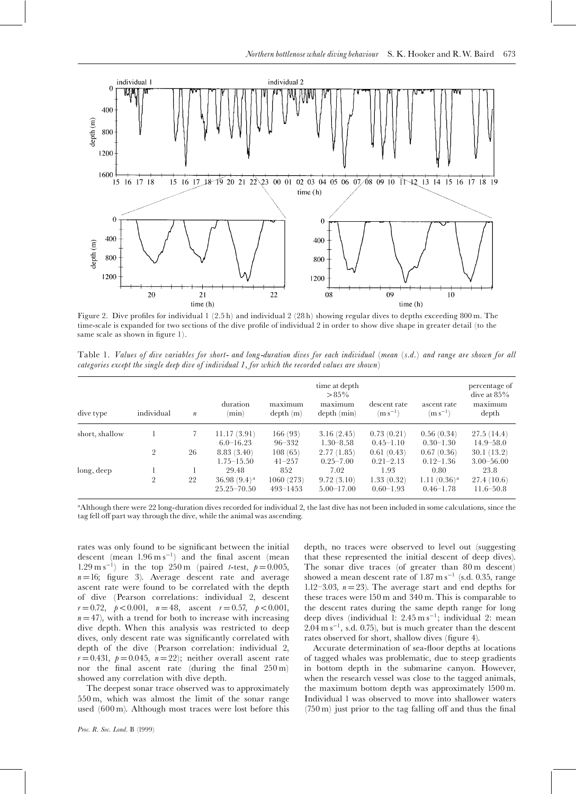

Figure 2. Dive profiles for individual  $1 (2.5 h)$  and individual  $2 (28 h)$  showing regular dives to depths exceeding 800 m. The time-scale is expanded for two sections of the dive profile of individual 2 in order to show dive shape in greater detail (to the same scale as shown in figure 1).

Table 1. Values of dive variables for short- and long-duration dives for each individual (mean (s.d.) and range are shown for all categories except the single deep dive of individual 1, for which the recorded values are shown)

| dive type      | individual     | $\boldsymbol{n}$ | duration<br>(min)                  | maximum<br>depth(m)       | time at depth<br>$>85\%$<br>maximum<br>depth (min) | descent rate<br>$(m s^{-1})$ | ascent rate<br>$(m s^{-1})$     | percentage of<br>dive at $85\%$<br>maximum<br>depth |
|----------------|----------------|------------------|------------------------------------|---------------------------|----------------------------------------------------|------------------------------|---------------------------------|-----------------------------------------------------|
| short, shallow |                |                  | 11.17(3.91)                        | 166(93)                   | 3.16(2.45)                                         | 0.73(0.21)                   | 0.56(0.34)                      | 27.5(14.4)                                          |
|                |                |                  | $6.0 - 16.23$                      | $96 - 332$                | $1.30 - 8.58$                                      | $0.45 - 1.10$                | $0.30 - 1.30$                   | $14.9 - 58.0$                                       |
|                | 2              | 26               | 8.83(3.40)                         | 108(65)                   | 2.77(1.85)                                         | 0.61(0.43)                   | 0.67(0.36)                      | 30.1(13.2)                                          |
|                |                |                  | $1.75 - 15.50$                     | $41 - 257$                | $0.25 - 7.00$                                      | $0.21 - 2.13$                | $0.12 - 1.36$                   | $3.00 - 56.00$                                      |
| long, deep     |                |                  | 29.48                              | 852                       | 7.02                                               | 1.93                         | 0.80                            | 23.8                                                |
|                | $\overline{2}$ | 22               | 36.98 $(9.4)^a$<br>$25.25 - 70.50$ | 1060(273)<br>$493 - 1453$ | 9.72(3.10)<br>$5.00 - 17.00$                       | 1.33(0.32)<br>$0.60 - 1.93$  | $1.11(0.36)^a$<br>$0.46 - 1.78$ | 27.4(10.6)<br>$11.6 - 50.8$                         |

aAlthough there were 22 long-duration dives recorded for individual 2, the last dive has not been included in some calculations, since the tag fell off part way through the dive, while the animal was ascending.

rates was only found to be significant between the initial descent (mean  $1.96 \text{ m s}^{-1}$ ) and the final ascent (mean 1.29 m s<sup>-1</sup>) in the top 250 m (paired *t*-test,  $p = 0.005$ ,  $n = 16$ ; figure 3). Average descent rate and average ascent rate were found to be correlated with the depth of dive (Pearson correlations: individual 2, descent  $r = 0.72$ ,  $p < 0.001$ ,  $n = 48$ , ascent  $r = 0.57$ ,  $p < 0.001$ ,  $n = 47$ ), with a trend for both to increase with increasing dive depth. When this analysis was restricted to deep dives, only descent rate was significantly correlated with depth of the dive (Pearson correlation: individual 2,  $r = 0.431$ ,  $p = 0.045$ ,  $n = 22$ ; neither overall ascent rate nor the final ascent rate (during the final  $250 \text{ m}$ ) showed any correlation with dive depth.

The deepest sonar trace observed was to approximately 550 m, which was almost the limit of the sonar range used (600 m). Although most traces were lost before this

Proc. R. Soc. Lond. B (1999)

depth, no traces were observed to level out (suggesting that these represented the initial descent of deep dives). The sonar dive traces (of greater than 80 m descent) showed a mean descent rate of  $1.87 \text{ m s}^{-1}$  (s.d. 0.35, range 1.12-3.03,  $n = 23$ ). The average start and end depths for these traces were 150 m and 340 m. This is comparable to the descent rates during the same depth range for long deep dives (individual 1: 2.45 m s<sup>-1</sup>; individual 2: mean  $2.04 \text{ m s}^{-1}$ , s.d. 0.75), but is much greater than the descent rates observed for short, shallow dives (figure 4).

Accurate determination of sea-floor depths at locations of tagged whales was problematic, due to steep gradients in bottom depth in the submarine canyon. However, when the research vessel was close to the tagged animals, the maximum bottom depth was approximately 1500 m. Individual 1 was observed to move into shallower waters  $(750 \,\mathrm{m})$  just prior to the tag falling off and thus the final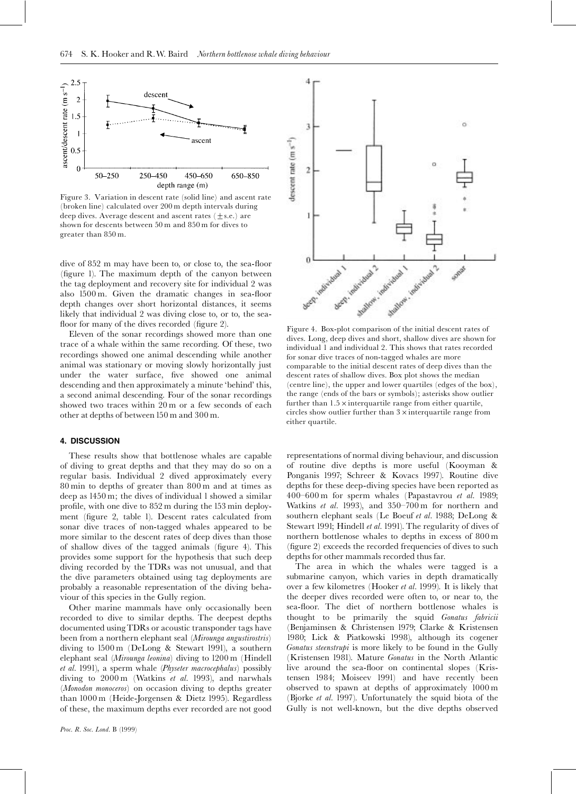

Figure 3. Variation in descent rate (solid line) and ascent rate (broken line) calculated over 200 m depth intervals during deep dives. Average descent and ascent rates  $(\pm s.e.)$  are shown for descents between 50 m and 850 m for dives to greater than 850 m.

dive of 852 m may have been to, or close to, the sea-floor (figure 1). The maximum depth of the canyon between the tag deployment and recovery site for individual 2 was also  $1500 \text{ m}$ . Given the dramatic changes in sea-floor depth changes over short horizontal distances, it seems likely that individual 2 was diving close to, or to, the seafloor for many of the dives recorded (figure 2).

Eleven of the sonar recordings showed more than one trace of a whale within the same recording. Of these, two recordings showed one animal descending while another animal was stationary or moving slowly horizontally just under the water surface, five showed one animal descending and then approximately a minute 'behind' this, a second animal descending. Four of the sonar recordings showed two traces within 20 m or a few seconds of each other at depths of between 150 m and 300 m.

#### 4. DISCUSSION

These results show that bottlenose whales are capable of diving to great depths and that they may do so on a regular basis. Individual 2 dived approximately every 80 min to depths of greater than 800 m and at times as deep as 1450 m; the dives of individual 1 showed a similar profile, with one dive to 852 m during the 153 min deployment (figure 2, table 1). Descent rates calculated from sonar dive traces of non-tagged whales appeared to be more similar to the descent rates of deep dives than those of shallow dives of the tagged animals (figure 4). This provides some support for the hypothesis that such deep diving recorded by the TDRs was not unusual, and that the dive parameters obtained using tag deployments are probably a reasonable representation of the diving behaviour of this species in the Gully region.

Other marine mammals have only occasionally been recorded to dive to similar depths. The deepest depths documented usingTDRs or acoustic transponder tags have been from a northern elephant seal (Mirounga angustirostris) diving to 1500 m (DeLong & Stewart 1991), a southern elephant seal (Mirounga leonina) diving to 1200 m (Hindell et al. 1991), a sperm whale (Physeter macrocephalus) possibly diving to 2000 m (Watkins et al. 1993), and narwhals (Monodon monoceros) on occasion diving to depths greater than 1000 m (Heide-Jorgensen & Dietz 1995). Regardless of these, the maximum depths ever recorded are not good



4

Figure 4. Box-plot comparison of the initial descent rates of dives. Long, deep dives and short, shallow dives are shown for individual 1 and individual 2. This shows that rates recorded for sonar dive traces of non-tagged whales are more comparable to the initial descent rates of deep dives than the descent rates of shallow dives. Box plot shows the median (centre line), the upper and lower quartiles (edges of the box), the range (ends of the bars or symbols); asterisks show outlier further than  $1.5 \times$  interquartile range from either quartile,  $circles$  show outlier further than  $3 \times$  interquartile range from either quartile.

representations of normal diving behaviour, and discussion of routine dive depths is more useful (Kooyman & Ponganis 1997; Schreer & Kovacs 1997). Routine dive depths for these deep-diving species have been reported as 400 $-600$  m for sperm whales (Papastavrou et al. 1989; Watkins et al. 1993), and  $350-700$  m for northern and southern elephant seals (Le Boeuf et al. 1988; DeLong & Stewart 1991; Hindell et al. 1991). The regularity of dives of northern bottlenose whales to depths in excess of 800 m (figure 2) exceeds the recorded frequencies of dives to such depths for other mammals recorded thus far.

The area in which the whales were tagged is a submarine canyon, which varies in depth dramatically over a few kilometres (Hooker et al. 1999). It is likely that the deeper dives recorded were often to, or near to, the sea-floor. The diet of northern bottlenose whales is thought to be primarily the squid Gonatus fabricii (Benjaminsen & Christensen 1979; Clarke & Kristensen 1980; Lick & Piatkowski 1998), although its cogener Gonatus steenstrupi is more likely to be found in the Gully (Kristensen 1981). Mature Gonatus in the North Atlantic live around the sea-floor on continental slopes (Kristensen 1984; Moiseev 1991) and have recently been observed to spawn at depths of approximately 1000 m (Bjorke et al. 1997). Unfortunately the squid biota of the Gully is not well-known, but the dive depths observed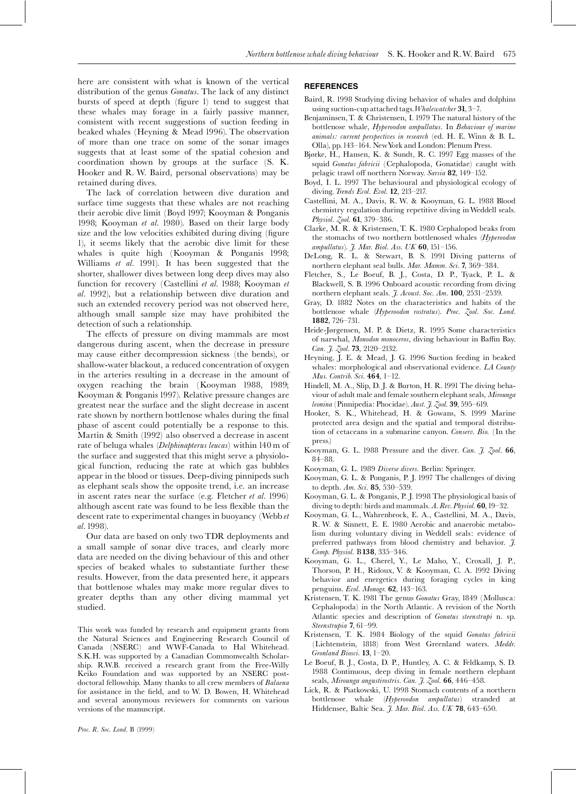here are consistent with what is known of the vertical distribution of the genus *Gonatus*. The lack of any distinct bursts of speed at depth (figure 1) tend to suggest that these whales may forage in a fairly passive manner, consistent with recent suggestions of suction feeding in beaked whales (Heyning & Mead 1996). The observation of more than one trace on some of the sonar images suggests that at least some of the spatial cohesion and coordination shown by groups at the surface (S. K. Hooker and R. W. Baird, personal observations) may be retained during dives.

The lack of correlation between dive duration and surface time suggests that these whales are not reaching their aerobic dive limit (Boyd 1997; Kooyman & Ponganis 1998; Kooyman et al. 1980). Based on their large body size and the low velocities exhibited during diving (figure 1), it seems likely that the aerobic dive limit for these whales is quite high (Kooyman & Ponganis 1998; Williams et al. 1991). It has been suggested that the shorter, shallower dives between long deep dives may also function for recovery (Castellini et al. 1988; Kooyman et al. 1992), but a relationship between dive duration and such an extended recovery period was not observed here, although small sample size may have prohibited the detection of such a relationship.

The effects of pressure on diving mammals are most dangerous during ascent, when the decrease in pressure may cause either decompression sickness (the bends), or shallow-water blackout, a reduced concentration of oxygen in the arteries resulting in a decrease in the amount of oxygen reaching the brain (Kooyman 1988, 1989; Kooyman & Ponganis 1997). Relative pressure changes are greatest near the surface and the slight decrease in ascent rate shown by northern bottlenose whales during the final phase of ascent could potentially be a response to this. Martin & Smith (1992) also observed a decrease in ascent rate of beluga whales (*Delphinapterus leucas*) within 140 m of the surface and suggested that this might serve a physiological function, reducing the rate at which gas bubbles appear in the blood or tissues. Deep-diving pinnipeds such as elephant seals show the opposite trend, i.e. an increase in ascent rates near the surface (e.g. Fletcher et al. 1996) although ascent rate was found to be less flexible than the descent rate to experimental changes in buoyancy (Webb et al. 1998).

Our data are based on only two TDR deployments and a small sample of sonar dive traces, and clearly more data are needed on the diving behaviour of this and other species of beaked whales to substantiate further these results. However, from the data presented here, it appears that bottlenose whales may make more regular dives to greater depths than any other diving mammal yet studied.

This work was funded by research and equipment grants from the Natural Sciences and Engineering Research Council of Canada (NSERC) and WWF-Canada to Hal Whitehead. S.K.H. was supported by a Canadian Commonwealth Scholarship. R.W.B. received a research grant from the Free-Willy Keiko Foundation and was supported by an NSERC postdoctoral fellowship. Many thanks to all crew members of Balaena for assistance in the field, and to W. D. Bowen, H. Whitehead and several anonymous reviewers for comments on various versions of the manuscript.

#### Proc. R. Soc. Lond. B (1999)

#### **REFERENCES**

- Baird, R. 1998 Studying diving behavior of whales and dolphins using suction-cup attached tags. Whalewatcher  $31$ , 3-7.
- Benjaminsen,T. & Christensen, I. 1979 The natural history of the bottlenose whale, Hyperoodon ampullatus. In Behaviour of marine animals: current perspectives in research (ed. H. E. Winn & B. L. Olla), pp.143^164. NewYork and London: Plenum Press.
- Bjørke, H., Hansen, K. & Sundt, R. C. 1997 Egg masses of the squid Gonatus fabricii (Cephalopoda, Gonatidae) caught with pelagic trawl off northern Norway. Sarsia 82, 149-152.
- Boyd, I. L. 1997 The behavioural and physiological ecology of diving. *Trends Ecol. Evol.* **12**, 213-217.
- Castellini, M. A., Davis, R. W. & Kooyman, G. L. 1988 Blood chemistry regulation during repetitive diving inWeddell seals. Physiol.  $\zeta$ ool. **61**, 379–386.
- Clarke, M. R. & Kristensen, T. K. 1980 Cephalopod beaks from the stomachs of two northern bottlenosed whales (Hyperoodon ampullatus).  $\tilde{J}$ . Mar. Biol. Ass. UK 60, 151-156.
- DeLong, R. L. & Stewart, B. S. 1991 Diving patterns of northern elephant seal bulls. Mar. Mamm. Sci. 7, 369-384.
- Fletcher, S., Le Boeuf, B. J., Costa, D. P., Tyack, P. L. & Blackwell, S. B. 1996 Onboard acoustic recording from diving northern elephant seals. J. Acoust. Soc. Am. 100, 2531-2539.
- Gray, D. 1882 Notes on the characteristics and habits of the bottlenose whale (Hyperoodon rostratus). Proc. Zool. Soc. Lond. 1882, 726^731.
- Heide-Jørgensen, M. P. & Dietz, R. 1995 Some characteristics of narwhal, Monodon monoceros, diving behaviour in Baffin Bay. Can. J. Zool. **73**, 2120-2132.
- Heyning, J. E. & Mead, J. G. 1996 Suction feeding in beaked whales: morphological and observational evidence. LA County Mus. Contrib. Sci. 464, 1-12.
- Hindell, M. A., Slip, D. J. & Burton, H. R. 1991 The diving behaviour of adult male and female southern elephant seals, Mirounga leonina (Pinnipedia: Phocidae). Aust. J. Zool. 39, 595-619.
- Hooker, S. K., Whitehead, H. & Gowans, S. 1999 Marine protected area design and the spatial and temporal distribution of cetaceans in a submarine canyon. Conserv. Bio. (In the press.)
- Kooyman, G. L. 1988 Pressure and the diver. Can. J. Zool. 66, 84-88.
- Kooyman, G. L. 1989 Diverse divers. Berlin: Springer.
- Kooyman, G. L. & Ponganis, P. J. 1997 The challenges of diving to depth.  $Am. Sci. 85, 530-539.$
- Kooyman, G. L. & Ponganis, P. J. 1998 The physiological basis of diving to depth: birds and mammals.  $A$ . Rev. Physiol. 60, 19-32.
- Kooyman, G. L., Wahrenbrock, E. A., Castellini, M. A., Davis, R. W. & Sinnett, E. E. 1980 Aerobic and anaerobic metabolism during voluntary diving in Weddell seals: evidence of preferred pathways from blood chemistry and behavior.  $\tilde{J}$ . Comp. Physiol. B138, 335-346.
- Kooyman, G. L., Cherel, Y., Le Maho, Y., Croxall, J. P., Thorson, P. H., Ridoux, V. & Kooyman, C. A. 1992 Diving behavior and energetics during foraging cycles in king penguins. Ecol. Monogr. 62, 143-163.
- Kristensen, T. K. 1981 The genus Gonatus Gray, 1849 (Mollusca: Cephalopoda) in the North Atlantic. A revision of the North Atlantic species and description of Gonatus steenstrupi n. sp. Steenstrupia 7, 61-99.
- Kristensen, T. K. 1984 Biology of the squid Gonatus fabricii (Lichtenstein, 1818) from West Greenland waters. Meddr. Gronland Biosci.  $13$ ,  $1-20$ .
- Le Boeuf, B. J., Costa, D. P., Huntley, A. C. & Feldkamp, S. D. 1988 Continuous, deep diving in female northern elephant seals, Mirounga angustirostris. Can. J. Zool. 66, 446-458.
- Lick, R. & Piatkowski, U. 1998 Stomach contents of a northern bottlenose whale (Hyperoodon ampullatus) stranded at Hiddensee, Baltic Sea. J. Mar. Biol. Ass. UK 78, 643-650.